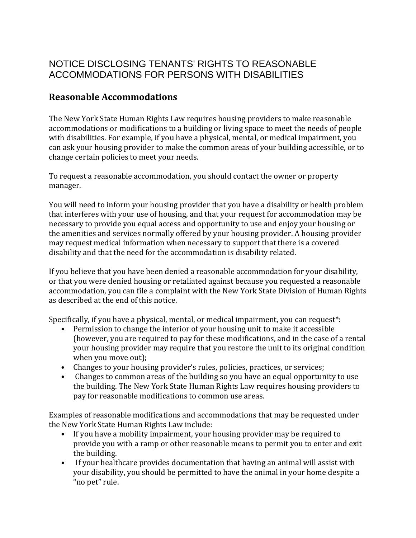## NOTICE DISCLOSING TENANTS' RIGHTS TO REASONABLE ACCOMMODATIONS FOR PERSONS WITH DISABILITIES

## **Reasonable Accommodations**

The New York State Human Rights Law requires housing providers to make reasonable accommodations or modifications to a building or living space to meet the needs of people with disabilities. For example, if you have a physical, mental, or medical impairment, you can ask your housing provider to make the common areas of your building accessible, or to change certain policies to meet your needs.

To request a reasonable accommodation, you should contact the owner or property manager.

You will need to inform your housing provider that you have a disability or health problem that interferes with your use of housing, and that your request for accommodation may be necessary to provide you equal access and opportunity to use and enjoy your housing or the amenities and services normally offered by your housing provider. A housing provider may request medical information when necessary to support that there is a covered disability and that the need for the accommodation is disability related.

If you believe that you have been denied a reasonable accommodation for your disability, or that you were denied housing or retaliated against because you requested a reasonable accommodation, you can file a complaint with the New York State Division of Human Rights as described at the end of this notice.

Specifically, if you have a physical, mental, or medical impairment, you can request\*:

- Permission to change the interior of your housing unit to make it accessible (however, you are required to pay for these modifications, and in the case of a rental your housing provider may require that you restore the unit to its original condition when you move out);
- Changes to your housing provider's rules, policies, practices, or services;
- Changes to common areas of the building so you have an equal opportunity to use the building. The New York State Human Rights Law requires housing providers to pay for reasonable modifications to common use areas.

Examples of reasonable modifications and accommodations that may be requested under the New York State Human Rights Law include:

- If you have a mobility impairment, your housing provider may be required to provide you with a ramp or other reasonable means to permit you to enter and exit the building.
- If your healthcare provides documentation that having an animal will assist with your disability, you should be permitted to have the animal in your home despite a "no pet" rule.